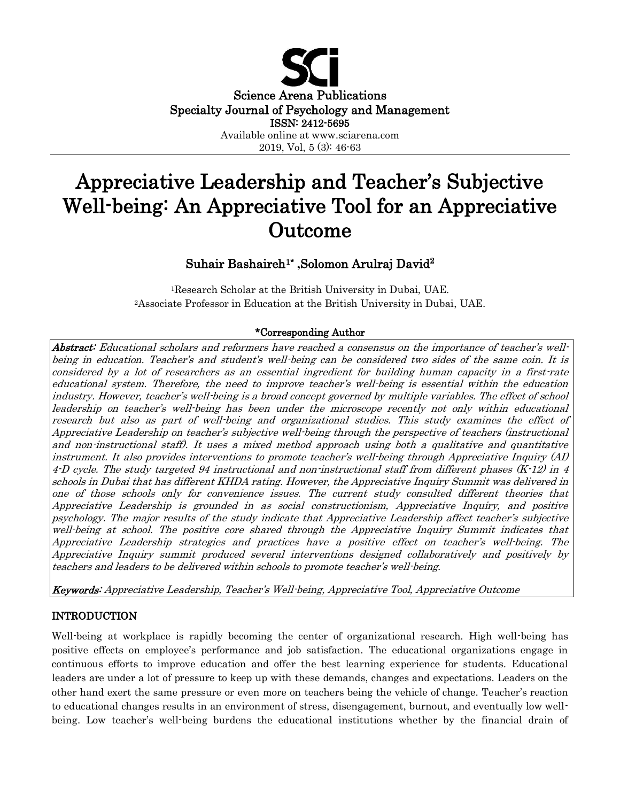

# Appreciative Leadership and Teacher's Subjective Well-being: An Appreciative Tool for an Appreciative Outcome

## Suhair Bashaireh1\*  **,**Solomon Arulraj David<sup>2</sup>

<sup>1</sup>Research Scholar at the British University in Dubai, UAE. <sup>2</sup>Associate Professor in Education at the British University in Dubai, UAE.

## \*Corresponding Author

Abstract: Educational scholars and reformers have reached a consensus on the importance of teacher's wellbeing in education. Teacher's and student's well-being can be considered two sides of the same coin. It is considered by a lot of researchers as an essential ingredient for building human capacity in a first-rate educational system. Therefore, the need to improve teacher's well-being is essential within the education industry. However, teacher's well-being is a broad concept governed by multiple variables. The effect of school leadership on teacher's well-being has been under the microscope recently not only within educational research but also as part of well-being and organizational studies. This study examines the effect of Appreciative Leadership on teacher's subjective well-being through the perspective of teachers (instructional and non-instructional staff). It uses a mixed method approach using both a qualitative and quantitative instrument. It also provides interventions to promote teacher's well-being through Appreciative Inquiry (AI) 4-D cycle. The study targeted 94 instructional and non-instructional staff from different phases (K-12) in 4 schools in Dubai that has different KHDA rating. However, the Appreciative Inquiry Summit was delivered in one of those schools only for convenience issues. The current study consulted different theories that Appreciative Leadership is grounded in as social constructionism, Appreciative Inquiry, and positive psychology. The major results of the study indicate that Appreciative Leadership affect teacher's subjective well-being at school. The positive core shared through the Appreciative Inquiry Summit indicates that Appreciative Leadership strategies and practices have a positive effect on teacher's well-being. The Appreciative Inquiry summit produced several interventions designed collaboratively and positively by teachers and leaders to be delivered within schools to promote teacher's well-being.

Keywords: Appreciative Leadership, Teacher's Well-being, Appreciative Tool, Appreciative Outcome

## INTRODUCTION

Well-being at workplace is rapidly becoming the center of organizational research. High well-being has positive effects on employee's performance and job satisfaction. The educational organizations engage in continuous efforts to improve education and offer the best learning experience for students. Educational leaders are under a lot of pressure to keep up with these demands, changes and expectations. Leaders on the other hand exert the same pressure or even more on teachers being the vehicle of change. Teacher's reaction to educational changes results in an environment of stress, disengagement, burnout, and eventually low wellbeing. Low teacher's well-being burdens the educational institutions whether by the financial drain of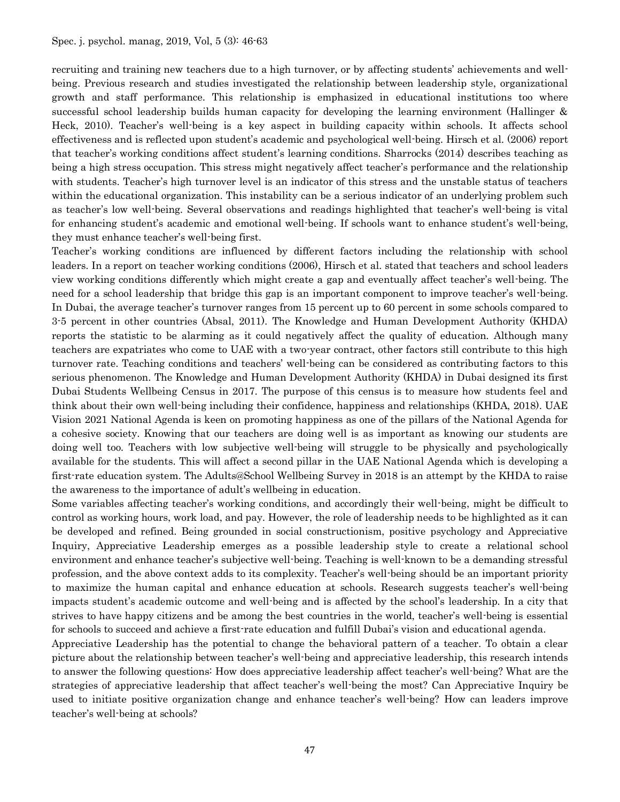recruiting and training new teachers due to a high turnover, or by affecting students' achievements and wellbeing. Previous research and studies investigated the relationship between leadership style, organizational growth and staff performance. This relationship is emphasized in educational institutions too where successful school leadership builds human capacity for developing the learning environment (Hallinger & Heck, 2010). Teacher's well-being is a key aspect in building capacity within schools. It affects school effectiveness and is reflected upon student's academic and psychological well-being. Hirsch et al. (2006) report that teacher's working conditions affect student's learning conditions. Sharrocks (2014) describes teaching as being a high stress occupation. This stress might negatively affect teacher's performance and the relationship with students. Teacher's high turnover level is an indicator of this stress and the unstable status of teachers within the educational organization. This instability can be a serious indicator of an underlying problem such as teacher's low well-being. Several observations and readings highlighted that teacher's well-being is vital for enhancing student's academic and emotional well-being. If schools want to enhance student's well-being, they must enhance teacher's well-being first.

Teacher's working conditions are influenced by different factors including the relationship with school leaders. In a report on teacher working conditions (2006), Hirsch et al. stated that teachers and school leaders view working conditions differently which might create a gap and eventually affect teacher's well-being. The need for a school leadership that bridge this gap is an important component to improve teacher's well-being. In Dubai, the average teacher's turnover ranges from 15 percent up to 60 percent in some schools compared to 3-5 percent in other countries (Absal, 2011). The Knowledge and Human Development Authority (KHDA) reports the statistic to be alarming as it could negatively affect the quality of education. Although many teachers are expatriates who come to UAE with a two-year contract, other factors still contribute to this high turnover rate. Teaching conditions and teachers' well-being can be considered as contributing factors to this serious phenomenon. The Knowledge and Human Development Authority (KHDA) in Dubai designed its first Dubai Students Wellbeing Census in 2017. The purpose of this census is to measure how students feel and think about their own well-being including their confidence, happiness and relationships (KHDA, 2018). UAE Vision 2021 National Agenda is keen on promoting happiness as one of the pillars of the National Agenda for a cohesive society. Knowing that our teachers are doing well is as important as knowing our students are doing well too. Teachers with low subjective well-being will struggle to be physically and psychologically available for the students. This will affect a second pillar in the UAE National Agenda which is developing a first-rate education system. The Adults@School Wellbeing Survey in 2018 is an attempt by the KHDA to raise the awareness to the importance of adult's wellbeing in education.

Some variables affecting teacher's working conditions, and accordingly their well-being, might be difficult to control as working hours, work load, and pay. However, the role of leadership needs to be highlighted as it can be developed and refined. Being grounded in social constructionism, positive psychology and Appreciative Inquiry, Appreciative Leadership emerges as a possible leadership style to create a relational school environment and enhance teacher's subjective well-being. Teaching is well-known to be a demanding stressful profession, and the above context adds to its complexity. Teacher's well-being should be an important priority to maximize the human capital and enhance education at schools. Research suggests teacher's well-being impacts student's academic outcome and well-being and is affected by the school's leadership. In a city that strives to have happy citizens and be among the best countries in the world, teacher's well-being is essential for schools to succeed and achieve a first-rate education and fulfill Dubai's vision and educational agenda.

Appreciative Leadership has the potential to change the behavioral pattern of a teacher. To obtain a clear picture about the relationship between teacher's well-being and appreciative leadership, this research intends to answer the following questions: How does appreciative leadership affect teacher's well-being? What are the strategies of appreciative leadership that affect teacher's well-being the most? Can Appreciative Inquiry be used to initiate positive organization change and enhance teacher's well-being? How can leaders improve teacher's well-being at schools?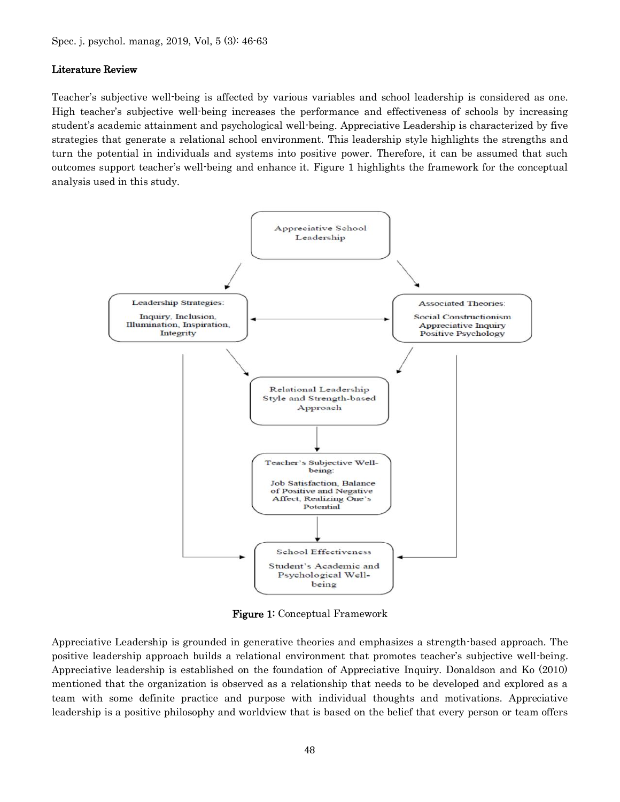#### Literature Review

Teacher's subjective well-being is affected by various variables and school leadership is considered as one. High teacher's subjective well-being increases the performance and effectiveness of schools by increasing student's academic attainment and psychological well-being. Appreciative Leadership is characterized by five strategies that generate a relational school environment. This leadership style highlights the strengths and turn the potential in individuals and systems into positive power. Therefore, it can be assumed that such outcomes support teacher's well-being and enhance it. Figure 1 highlights the framework for the conceptual analysis used in this study.



Figure 1: Conceptual Framework

Appreciative Leadership is grounded in generative theories and emphasizes a strength-based approach. The positive leadership approach builds a relational environment that promotes teacher's subjective well-being. Appreciative leadership is established on the foundation of Appreciative Inquiry. Donaldson and Ko (2010) mentioned that the organization is observed as a relationship that needs to be developed and explored as a team with some definite practice and purpose with individual thoughts and motivations. Appreciative leadership is a positive philosophy and worldview that is based on the belief that every person or team offers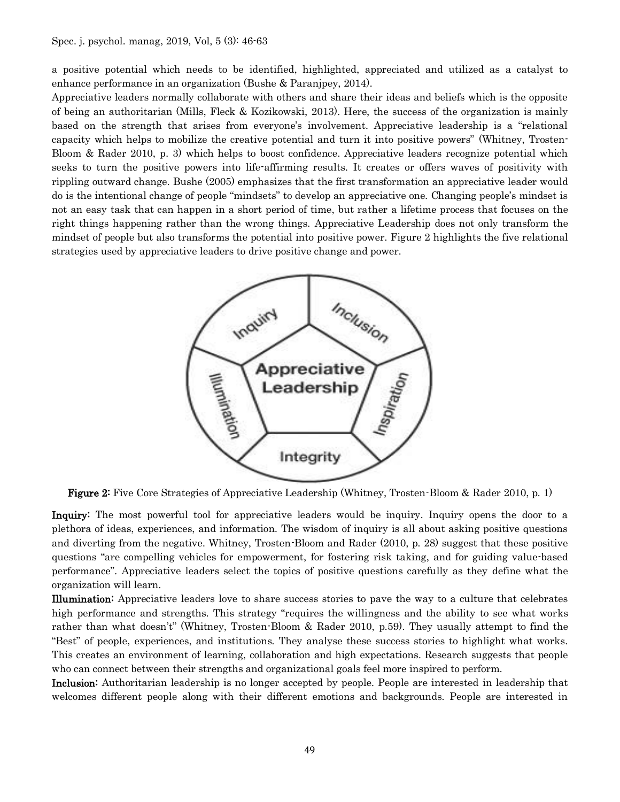a positive potential which needs to be identified, highlighted, appreciated and utilized as a catalyst to enhance performance in an organization (Bushe & Paranjpey, 2014).

Appreciative leaders normally collaborate with others and share their ideas and beliefs which is the opposite of being an authoritarian (Mills, Fleck & Kozikowski, 2013). Here, the success of the organization is mainly based on the strength that arises from everyone's involvement. Appreciative leadership is a "relational capacity which helps to mobilize the creative potential and turn it into positive powers" (Whitney, Trosten-Bloom & Rader 2010, p. 3) which helps to boost confidence. Appreciative leaders recognize potential which seeks to turn the positive powers into life-affirming results. It creates or offers waves of positivity with rippling outward change. Bushe (2005) emphasizes that the first transformation an appreciative leader would do is the intentional change of people "mindsets" to develop an appreciative one. Changing people's mindset is not an easy task that can happen in a short period of time, but rather a lifetime process that focuses on the right things happening rather than the wrong things. Appreciative Leadership does not only transform the mindset of people but also transforms the potential into positive power. Figure 2 highlights the five relational strategies used by appreciative leaders to drive positive change and power.



Figure 2: Five Core Strategies of Appreciative Leadership (Whitney, Trosten-Bloom & Rader 2010, p. 1)

**Inquiry:** The most powerful tool for appreciative leaders would be inquiry. Inquiry opens the door to a plethora of ideas, experiences, and information. The wisdom of inquiry is all about asking positive questions and diverting from the negative. Whitney, Trosten-Bloom and Rader (2010, p. 28) suggest that these positive questions "are compelling vehicles for empowerment, for fostering risk taking, and for guiding value-based performance". Appreciative leaders select the topics of positive questions carefully as they define what the organization will learn.

Illumination: Appreciative leaders love to share success stories to pave the way to a culture that celebrates high performance and strengths. This strategy "requires the willingness and the ability to see what works rather than what doesn't" (Whitney, Trosten-Bloom & Rader 2010, p.59). They usually attempt to find the "Best" of people, experiences, and institutions. They analyse these success stories to highlight what works. This creates an environment of learning, collaboration and high expectations. Research suggests that people who can connect between their strengths and organizational goals feel more inspired to perform.

Inclusion: Authoritarian leadership is no longer accepted by people. People are interested in leadership that welcomes different people along with their different emotions and backgrounds. People are interested in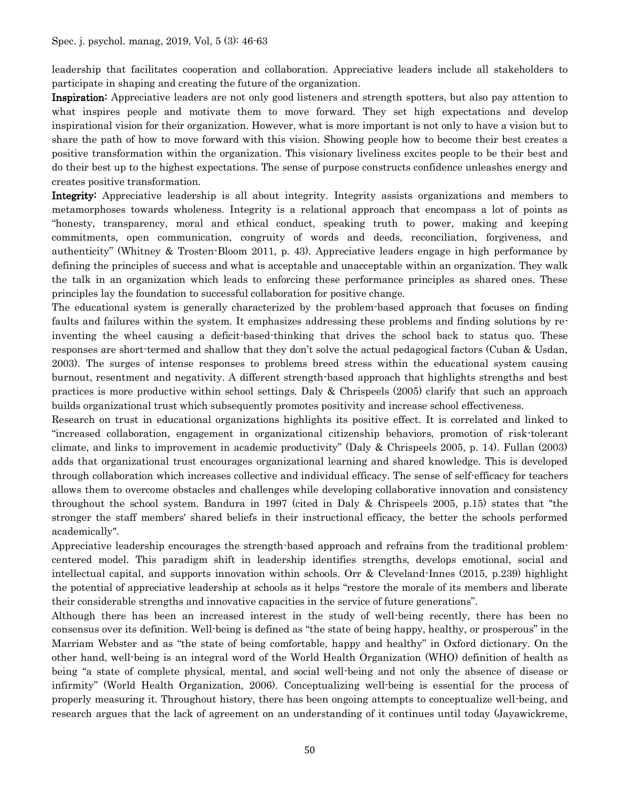leadership that facilitates cooperation and collaboration. Appreciative leaders include all stakeholders to participate in shaping and creating the future of the organization.

Inspiration: Appreciative leaders are not only good listeners and strength spotters, but also pay attention to what inspires people and motivate them to move forward. They set high expectations and develop inspirational vision for their organization. However, what is more important is not only to have a vision but to share the path of how to move forward with this vision. Showing people how to become their best creates a positive transformation within the organization. This visionary liveliness excites people to be their best and do their best up to the highest expectations. The sense of purpose constructs confidence unleashes energy and creates positive transformation.

Integrity: Appreciative leadership is all about integrity. Integrity assists organizations and members to metamorphoses towards wholeness. Integrity is a relational approach that encompass a lot of points as "honesty, transparency, moral and ethical conduct, speaking truth to power, making and keeping commitments, open communication, congruity of words and deeds, reconciliation, forgiveness, and authenticity" (Whitney & Trosten-Bloom 2011, p. 43). Appreciative leaders engage in high performance by defining the principles of success and what is acceptable and unacceptable within an organization. They walk the talk in an organization which leads to enforcing these performance principles as shared ones. These principles lay the foundation to successful collaboration for positive change.

The educational system is generally characterized by the problem-based approach that focuses on finding faults and failures within the system. It emphasizes addressing these problems and finding solutions by reinventing the wheel causing a deficit-based-thinking that drives the school back to status quo. These responses are short-termed and shallow that they don't solve the actual pedagogical factors (Cuban & Usdan, 2003). The surges of intense responses to problems breed stress within the educational system causing burnout, resentment and negativity. A different strength-based approach that highlights strengths and best practices is more productive within school settings. Daly & Chrispeels (2005) clarify that such an approach builds organizational trust which subsequently promotes positivity and increase school effectiveness.

Research on trust in educational organizations highlights its positive effect. It is correlated and linked to "increased collaboration, engagement in organizational citizenship behaviors, promotion of risk-tolerant climate, and links to improvement in academic productivity" (Daly & Chrispeels 2005, p. 14). Fullan (2003) adds that organizational trust encourages organizational learning and shared knowledge. This is developed through collaboration which increases collective and individual efficacy. The sense of self-efficacy for teachers allows them to overcome obstacles and challenges while developing collaborative innovation and consistency throughout the school system. Bandura in 1997 (cited in Daly & Chrispeels 2005, p.15) states that "the stronger the staff members' shared beliefs in their instructional efficacy, the better the schools performed academically".

Appreciative leadership encourages the strength-based approach and refrains from the traditional problemcentered model. This paradigm shift in leadership identifies strengths, develops emotional, social and intellectual capital, and supports innovation within schools. Orr & Cleveland-Innes (2015, p.239) highlight the potential of appreciative leadership at schools as it helps "restore the morale of its members and liberate their considerable strengths and innovative capacities in the service of future generations".

Although there has been an increased interest in the study of well-being recently, there has been no consensus over its definition. Well-being is defined as "the state of being happy, healthy, or prosperous" in the Marriam Webster and as "the state of being comfortable, happy and healthy" in Oxford dictionary. On the other hand, well-being is an integral word of the World Health Organization (WHO) definition of health as being "a state of complete physical, mental, and social well-being and not only the absence of disease or infirmity" (World Health Organization, 2006). Conceptualizing well-being is essential for the process of properly measuring it. Throughout history, there has been ongoing attempts to conceptualize well-being, and research argues that the lack of agreement on an understanding of it continues until today (Jayawickreme,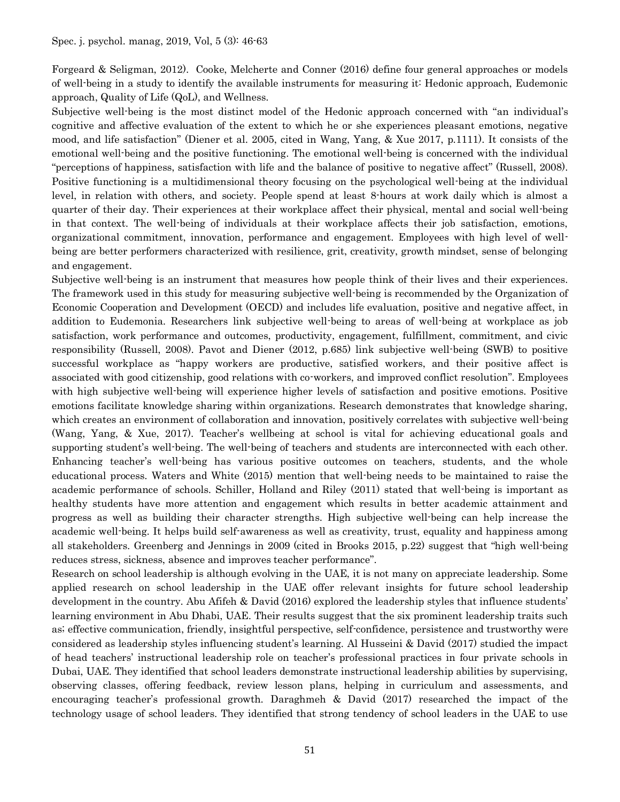Forgeard & Seligman, 2012). Cooke, Melcherte and Conner (2016) define four general approaches or models of well-being in a study to identify the available instruments for measuring it: Hedonic approach, Eudemonic approach, Quality of Life (QoL), and Wellness.

Subjective well-being is the most distinct model of the Hedonic approach concerned with "an individual's cognitive and affective evaluation of the extent to which he or she experiences pleasant emotions, negative mood, and life satisfaction" (Diener et al. 2005, cited in Wang, Yang, & Xue 2017, p.1111). It consists of the emotional well-being and the positive functioning. The emotional well-being is concerned with the individual "perceptions of happiness, satisfaction with life and the balance of positive to negative affect" (Russell, 2008). Positive functioning is a multidimensional theory focusing on the psychological well-being at the individual level, in relation with others, and society. People spend at least 8-hours at work daily which is almost a quarter of their day. Their experiences at their workplace affect their physical, mental and social well-being in that context. The well-being of individuals at their workplace affects their job satisfaction, emotions, organizational commitment, innovation, performance and engagement. Employees with high level of wellbeing are better performers characterized with resilience, grit, creativity, growth mindset, sense of belonging and engagement.

Subjective well-being is an instrument that measures how people think of their lives and their experiences. The framework used in this study for measuring subjective well-being is recommended by the Organization of Economic Cooperation and Development (OECD) and includes life evaluation, positive and negative affect, in addition to Eudemonia. Researchers link subjective well-being to areas of well-being at workplace as job satisfaction, work performance and outcomes, productivity, engagement, fulfillment, commitment, and civic responsibility (Russell, 2008). Pavot and Diener (2012, p.685) link subjective well-being (SWB) to positive successful workplace as "happy workers are productive, satisfied workers, and their positive affect is associated with good citizenship, good relations with co-workers, and improved conflict resolution". Employees with high subjective well-being will experience higher levels of satisfaction and positive emotions. Positive emotions facilitate knowledge sharing within organizations. Research demonstrates that knowledge sharing, which creates an environment of collaboration and innovation, positively correlates with subjective well-being (Wang, Yang, & Xue, 2017). Teacher's wellbeing at school is vital for achieving educational goals and supporting student's well-being. The well-being of teachers and students are interconnected with each other. Enhancing teacher's well-being has various positive outcomes on teachers, students, and the whole educational process. Waters and White (2015) mention that well-being needs to be maintained to raise the academic performance of schools. Schiller, Holland and Riley (2011) stated that well-being is important as healthy students have more attention and engagement which results in better academic attainment and progress as well as building their character strengths. High subjective well-being can help increase the academic well-being. It helps build self-awareness as well as creativity, trust, equality and happiness among all stakeholders. Greenberg and Jennings in 2009 (cited in Brooks 2015, p.22) suggest that "high well-being reduces stress, sickness, absence and improves teacher performance".

Research on school leadership is although evolving in the UAE, it is not many on appreciate leadership. Some applied research on school leadership in the UAE offer relevant insights for future school leadership development in the country. Abu Afifeh & David (2016) explored the leadership styles that influence students' learning environment in Abu Dhabi, UAE. Their results suggest that the six prominent leadership traits such as; effective communication, friendly, insightful perspective, self-confidence, persistence and trustworthy were considered as leadership styles influencing student's learning. Al Husseini & David (2017) studied the impact of head teachers' instructional leadership role on teacher's professional practices in four private schools in Dubai, UAE. They identified that school leaders demonstrate instructional leadership abilities by supervising, observing classes, offering feedback, review lesson plans, helping in curriculum and assessments, and encouraging teacher's professional growth. Daraghmeh & David (2017) researched the impact of the technology usage of school leaders. They identified that strong tendency of school leaders in the UAE to use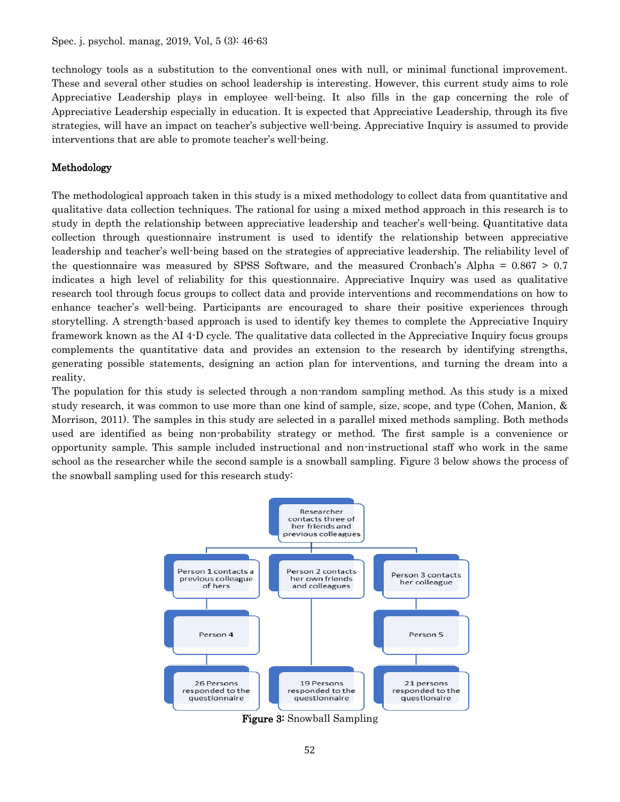technology tools as a substitution to the conventional ones with null, or minimal functional improvement. These and several other studies on school leadership is interesting. However, this current study aims to role Appreciative Leadership plays in employee well-being. It also fills in the gap concerning the role of Appreciative Leadership especially in education. It is expected that Appreciative Leadership, through its five strategies, will have an impact on teacher's subjective well-being. Appreciative Inquiry is assumed to provide interventions that are able to promote teacher's well-being.

## Methodology

The methodological approach taken in this study is a mixed methodology to collect data from quantitative and qualitative data collection techniques. The rational for using a mixed method approach in this research is to study in depth the relationship between appreciative leadership and teacher's well-being. Quantitative data collection through questionnaire instrument is used to identify the relationship between appreciative leadership and teacher's well-being based on the strategies of appreciative leadership. The reliability level of the questionnaire was measured by SPSS Software, and the measured Cronbach's Alpha = 0.867 > 0.7 indicates a high level of reliability for this questionnaire. Appreciative Inquiry was used as qualitative research tool through focus groups to collect data and provide interventions and recommendations on how to enhance teacher's well-being. Participants are encouraged to share their positive experiences through storytelling. A strength-based approach is used to identify key themes to complete the Appreciative Inquiry framework known as the AI 4-D cycle. The qualitative data collected in the Appreciative Inquiry focus groups complements the quantitative data and provides an extension to the research by identifying strengths, generating possible statements, designing an action plan for interventions, and turning the dream into a reality.

The population for this study is selected through a non-random sampling method. As this study is a mixed study research, it was common to use more than one kind of sample, size, scope, and type (Cohen, Manion, & Morrison, 2011). The samples in this study are selected in a parallel mixed methods sampling. Both methods used are identified as being non-probability strategy or method. The first sample is a convenience or opportunity sample. This sample included instructional and non-instructional staff who work in the same school as the researcher while the second sample is a snowball sampling. Figure 3 below shows the process of the snowball sampling used for this research study:



Figure 3: Snowball Sampling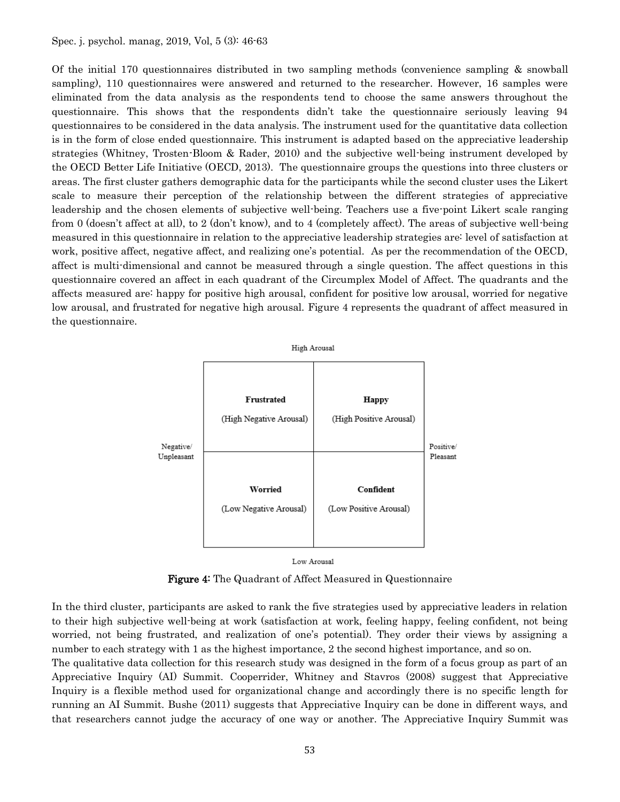Of the initial 170 questionnaires distributed in two sampling methods (convenience sampling & snowball sampling), 110 questionnaires were answered and returned to the researcher. However, 16 samples were eliminated from the data analysis as the respondents tend to choose the same answers throughout the questionnaire. This shows that the respondents didn't take the questionnaire seriously leaving 94 questionnaires to be considered in the data analysis. The instrument used for the quantitative data collection is in the form of close ended questionnaire. This instrument is adapted based on the appreciative leadership strategies (Whitney, Trosten-Bloom & Rader, 2010) and the subjective well-being instrument developed by the OECD Better Life Initiative (OECD, 2013). The questionnaire groups the questions into three clusters or areas. The first cluster gathers demographic data for the participants while the second cluster uses the Likert scale to measure their perception of the relationship between the different strategies of appreciative leadership and the chosen elements of subjective well-being. Teachers use a five-point Likert scale ranging from 0 (doesn't affect at all), to 2 (don't know), and to 4 (completely affect). The areas of subjective well-being measured in this questionnaire in relation to the appreciative leadership strategies are: level of satisfaction at work, positive affect, negative affect, and realizing one's potential. As per the recommendation of the OECD, affect is multi-dimensional and cannot be measured through a single question. The affect questions in this questionnaire covered an affect in each quadrant of the Circumplex Model of Affect. The quadrants and the affects measured are: happy for positive high arousal, confident for positive low arousal, worried for negative low arousal, and frustrated for negative high arousal. Figure 4 represents the quadrant of affect measured in the questionnaire.



Low Arousal

Figure 4: The Quadrant of Affect Measured in Questionnaire

In the third cluster, participants are asked to rank the five strategies used by appreciative leaders in relation to their high subjective well-being at work (satisfaction at work, feeling happy, feeling confident, not being worried, not being frustrated, and realization of one's potential). They order their views by assigning a number to each strategy with 1 as the highest importance, 2 the second highest importance, and so on.

The qualitative data collection for this research study was designed in the form of a focus group as part of an Appreciative Inquiry (AI) Summit. Cooperrider, Whitney and Stavros (2008) suggest that Appreciative Inquiry is a flexible method used for organizational change and accordingly there is no specific length for running an AI Summit. Bushe (2011) suggests that Appreciative Inquiry can be done in different ways, and that researchers cannot judge the accuracy of one way or another. The Appreciative Inquiry Summit was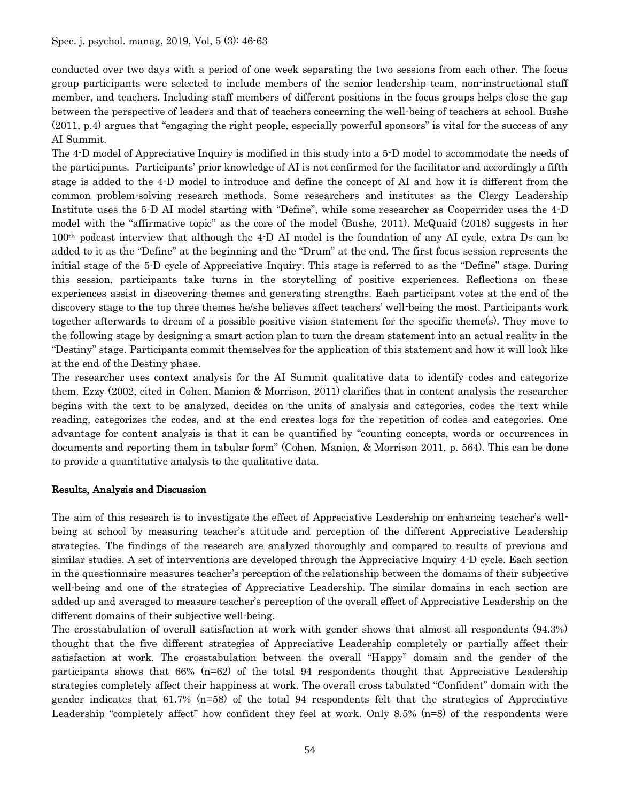conducted over two days with a period of one week separating the two sessions from each other. The focus group participants were selected to include members of the senior leadership team, non-instructional staff member, and teachers. Including staff members of different positions in the focus groups helps close the gap between the perspective of leaders and that of teachers concerning the well-being of teachers at school. Bushe (2011, p.4) argues that "engaging the right people, especially powerful sponsors" is vital for the success of any AI Summit.

The 4-D model of Appreciative Inquiry is modified in this study into a 5-D model to accommodate the needs of the participants. Participants' prior knowledge of AI is not confirmed for the facilitator and accordingly a fifth stage is added to the 4-D model to introduce and define the concept of AI and how it is different from the common problem-solving research methods. Some researchers and institutes as the Clergy Leadership Institute uses the 5-D AI model starting with "Define", while some researcher as Cooperrider uses the 4-D model with the "affirmative topic" as the core of the model (Bushe, 2011). McQuaid (2018) suggests in her 100th podcast interview that although the 4-D AI model is the foundation of any AI cycle, extra Ds can be added to it as the "Define" at the beginning and the "Drum" at the end. The first focus session represents the initial stage of the 5-D cycle of Appreciative Inquiry. This stage is referred to as the "Define" stage. During this session, participants take turns in the storytelling of positive experiences. Reflections on these experiences assist in discovering themes and generating strengths. Each participant votes at the end of the discovery stage to the top three themes he/she believes affect teachers' well-being the most. Participants work together afterwards to dream of a possible positive vision statement for the specific theme(s). They move to the following stage by designing a smart action plan to turn the dream statement into an actual reality in the "Destiny" stage. Participants commit themselves for the application of this statement and how it will look like at the end of the Destiny phase.

The researcher uses context analysis for the AI Summit qualitative data to identify codes and categorize them. Ezzy (2002, cited in Cohen, Manion & Morrison, 2011) clarifies that in content analysis the researcher begins with the text to be analyzed, decides on the units of analysis and categories, codes the text while reading, categorizes the codes, and at the end creates logs for the repetition of codes and categories. One advantage for content analysis is that it can be quantified by "counting concepts, words or occurrences in documents and reporting them in tabular form" (Cohen, Manion, & Morrison 2011, p. 564). This can be done to provide a quantitative analysis to the qualitative data.

#### Results, Analysis and Discussion

The aim of this research is to investigate the effect of Appreciative Leadership on enhancing teacher's wellbeing at school by measuring teacher's attitude and perception of the different Appreciative Leadership strategies. The findings of the research are analyzed thoroughly and compared to results of previous and similar studies. A set of interventions are developed through the Appreciative Inquiry 4-D cycle. Each section in the questionnaire measures teacher's perception of the relationship between the domains of their subjective well-being and one of the strategies of Appreciative Leadership. The similar domains in each section are added up and averaged to measure teacher's perception of the overall effect of Appreciative Leadership on the different domains of their subjective well-being.

The crosstabulation of overall satisfaction at work with gender shows that almost all respondents (94.3%) thought that the five different strategies of Appreciative Leadership completely or partially affect their satisfaction at work. The crosstabulation between the overall "Happy" domain and the gender of the participants shows that 66% (n=62) of the total 94 respondents thought that Appreciative Leadership strategies completely affect their happiness at work. The overall cross tabulated "Confident" domain with the gender indicates that 61.7% (n=58) of the total 94 respondents felt that the strategies of Appreciative Leadership "completely affect" how confident they feel at work. Only 8.5% (n=8) of the respondents were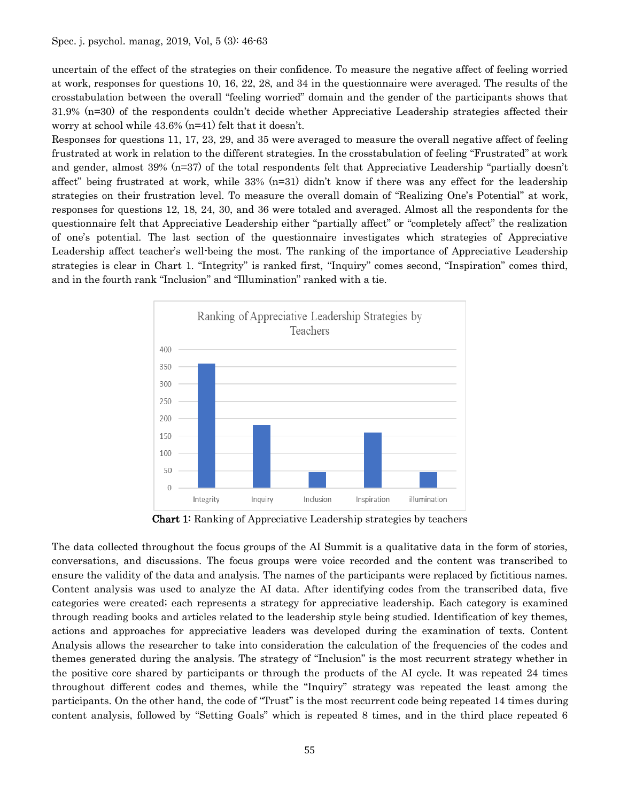uncertain of the effect of the strategies on their confidence. To measure the negative affect of feeling worried at work, responses for questions 10, 16, 22, 28, and 34 in the questionnaire were averaged. The results of the crosstabulation between the overall "feeling worried" domain and the gender of the participants shows that 31.9% (n=30) of the respondents couldn't decide whether Appreciative Leadership strategies affected their worry at school while 43.6% (n=41) felt that it doesn't.

Responses for questions 11, 17, 23, 29, and 35 were averaged to measure the overall negative affect of feeling frustrated at work in relation to the different strategies. In the crosstabulation of feeling "Frustrated" at work and gender, almost 39% (n=37) of the total respondents felt that Appreciative Leadership "partially doesn't affect" being frustrated at work, while  $33\%$  (n=31) didn't know if there was any effect for the leadership strategies on their frustration level. To measure the overall domain of "Realizing One's Potential" at work, responses for questions 12, 18, 24, 30, and 36 were totaled and averaged. Almost all the respondents for the questionnaire felt that Appreciative Leadership either "partially affect" or "completely affect" the realization of one's potential. The last section of the questionnaire investigates which strategies of Appreciative Leadership affect teacher's well-being the most. The ranking of the importance of Appreciative Leadership strategies is clear in Chart 1. "Integrity" is ranked first, "Inquiry" comes second, "Inspiration" comes third, and in the fourth rank "Inclusion" and "Illumination" ranked with a tie.



Chart 1: Ranking of Appreciative Leadership strategies by teachers

The data collected throughout the focus groups of the AI Summit is a qualitative data in the form of stories, conversations, and discussions. The focus groups were voice recorded and the content was transcribed to ensure the validity of the data and analysis. The names of the participants were replaced by fictitious names. Content analysis was used to analyze the AI data. After identifying codes from the transcribed data, five categories were created; each represents a strategy for appreciative leadership. Each category is examined through reading books and articles related to the leadership style being studied. Identification of key themes, actions and approaches for appreciative leaders was developed during the examination of texts. Content Analysis allows the researcher to take into consideration the calculation of the frequencies of the codes and themes generated during the analysis. The strategy of "Inclusion" is the most recurrent strategy whether in the positive core shared by participants or through the products of the AI cycle. It was repeated 24 times throughout different codes and themes, while the "Inquiry" strategy was repeated the least among the participants. On the other hand, the code of "Trust" is the most recurrent code being repeated 14 times during content analysis, followed by "Setting Goals" which is repeated 8 times, and in the third place repeated 6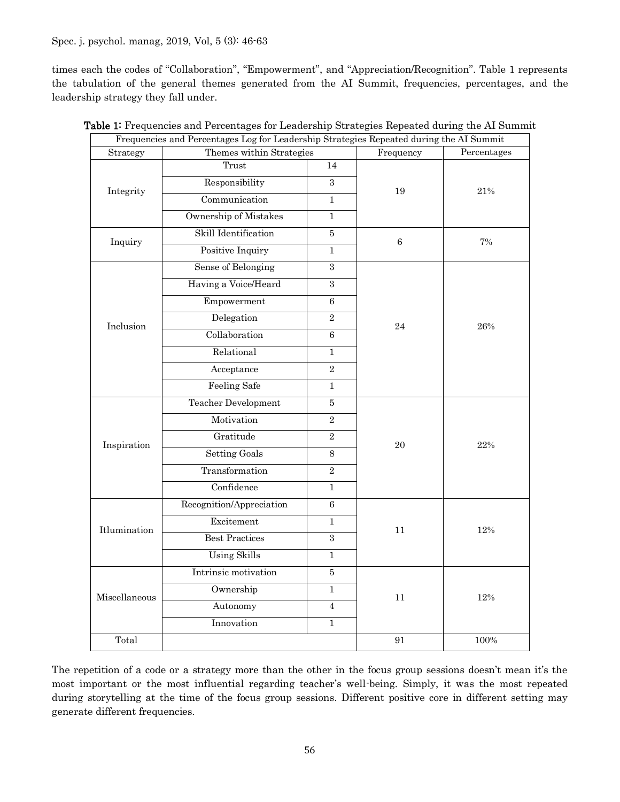Spec. j. psychol. manag, 2019, Vol, 5 (3): 46-63

times each the codes of "Collaboration", "Empowerment", and "Appreciation/Recognition". Table 1 represents the tabulation of the general themes generated from the AI Summit, frequencies, percentages, and the leadership strategy they fall under.

|               | Frequencies and Percentages Log for Leadership Strategies Repeated during the AI Summit |                |             |     |  |  |
|---------------|-----------------------------------------------------------------------------------------|----------------|-------------|-----|--|--|
| Strategy      | Themes within Strategies                                                                | Frequency      | Percentages |     |  |  |
| Integrity     | Trust                                                                                   | 14             |             |     |  |  |
|               | Responsibility                                                                          | $\overline{3}$ | 19          | 21% |  |  |
|               | Communication                                                                           | $\mathbf{1}$   |             |     |  |  |
|               | Ownership of Mistakes                                                                   | $\mathbf{1}$   |             |     |  |  |
| Inquiry       | Skill Identification                                                                    | $\bf 5$        | 6           | 7%  |  |  |
|               | Positive Inquiry                                                                        |                |             |     |  |  |
| Inclusion     | Sense of Belonging                                                                      | 3              |             |     |  |  |
|               | Having a Voice/Heard                                                                    |                |             |     |  |  |
|               | Empowerment                                                                             |                |             |     |  |  |
|               | Delegation                                                                              | 24             | 26%         |     |  |  |
|               | Collaboration                                                                           | 6              |             |     |  |  |
|               | Relational                                                                              | 1              |             |     |  |  |
|               | Acceptance                                                                              | $\overline{2}$ |             |     |  |  |
|               | <b>Feeling Safe</b>                                                                     | $\mathbf{1}$   |             |     |  |  |
|               | <b>Teacher Development</b>                                                              | $\overline{5}$ |             |     |  |  |
|               | Motivation                                                                              | $\overline{2}$ |             |     |  |  |
| Inspiration   | Gratitude                                                                               | $\overline{2}$ | 20          | 22% |  |  |
|               | <b>Setting Goals</b>                                                                    | $\,8\,$        |             |     |  |  |
|               | Transformation                                                                          | $\overline{2}$ |             |     |  |  |
|               | Confidence                                                                              | $\mathbf{1}$   |             |     |  |  |
| Itlumination  | Recognition/Appreciation                                                                | $\,6\,$        |             |     |  |  |
|               | Excitement                                                                              | $\mathbf{1}$   | 11          | 12% |  |  |
|               | <b>Best Practices</b>                                                                   |                |             |     |  |  |
|               | <b>Using Skills</b>                                                                     | $\mathbf{1}$   |             |     |  |  |
| Miscellaneous | Intrinsic motivation                                                                    |                |             |     |  |  |
|               | Ownership                                                                               | 11             | 12%         |     |  |  |
|               | Autonomy                                                                                |                |             |     |  |  |
|               | Innovation                                                                              |                |             |     |  |  |
| Total         |                                                                                         | 91             | 100%        |     |  |  |
|               |                                                                                         |                |             |     |  |  |

|  |  |  |  | Table 1: Frequencies and Percentages for Leadership Strategies Repeated during the AI Summit |  |  |  |  |  |  |  |
|--|--|--|--|----------------------------------------------------------------------------------------------|--|--|--|--|--|--|--|
|  |  |  |  |                                                                                              |  |  |  |  |  |  |  |

The repetition of a code or a strategy more than the other in the focus group sessions doesn't mean it's the most important or the most influential regarding teacher's well-being. Simply, it was the most repeated during storytelling at the time of the focus group sessions. Different positive core in different setting may generate different frequencies.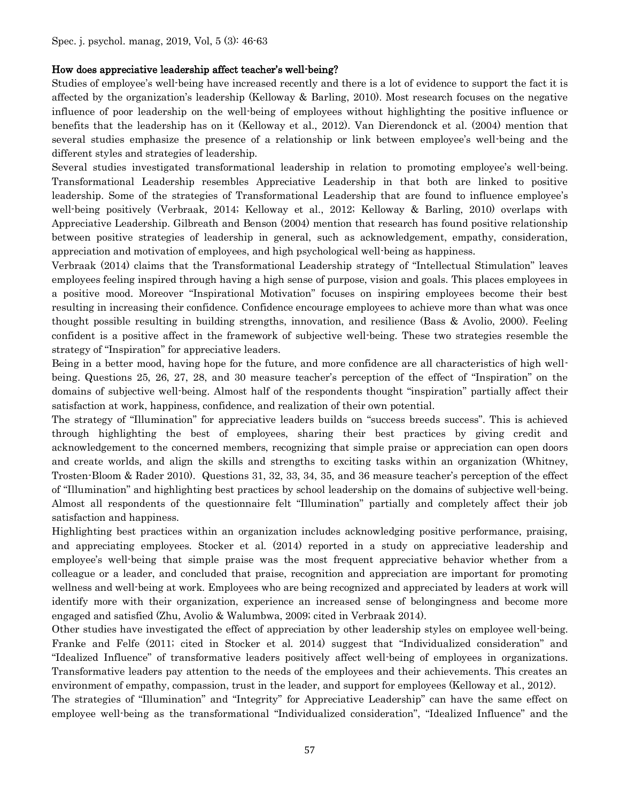#### How does appreciative leadership affect teacher's well-being?

Studies of employee's well-being have increased recently and there is a lot of evidence to support the fact it is affected by the organization's leadership (Kelloway & Barling, 2010). Most research focuses on the negative influence of poor leadership on the well-being of employees without highlighting the positive influence or benefits that the leadership has on it (Kelloway et al., 2012). Van Dierendonck et al. (2004) mention that several studies emphasize the presence of a relationship or link between employee's well-being and the different styles and strategies of leadership.

Several studies investigated transformational leadership in relation to promoting employee's well-being. Transformational Leadership resembles Appreciative Leadership in that both are linked to positive leadership. Some of the strategies of Transformational Leadership that are found to influence employee's well-being positively (Verbraak, 2014; Kelloway et al., 2012; Kelloway & Barling, 2010) overlaps with Appreciative Leadership. Gilbreath and Benson (2004) mention that research has found positive relationship between positive strategies of leadership in general, such as acknowledgement, empathy, consideration, appreciation and motivation of employees, and high psychological well-being as happiness.

Verbraak (2014) claims that the Transformational Leadership strategy of "Intellectual Stimulation" leaves employees feeling inspired through having a high sense of purpose, vision and goals. This places employees in a positive mood. Moreover "Inspirational Motivation" focuses on inspiring employees become their best resulting in increasing their confidence. Confidence encourage employees to achieve more than what was once thought possible resulting in building strengths, innovation, and resilience (Bass & Avolio, 2000). Feeling confident is a positive affect in the framework of subjective well-being. These two strategies resemble the strategy of "Inspiration" for appreciative leaders.

Being in a better mood, having hope for the future, and more confidence are all characteristics of high wellbeing. Questions 25, 26, 27, 28, and 30 measure teacher's perception of the effect of "Inspiration" on the domains of subjective well-being. Almost half of the respondents thought "inspiration" partially affect their satisfaction at work, happiness, confidence, and realization of their own potential.

The strategy of "Illumination" for appreciative leaders builds on "success breeds success". This is achieved through highlighting the best of employees, sharing their best practices by giving credit and acknowledgement to the concerned members, recognizing that simple praise or appreciation can open doors and create worlds, and align the skills and strengths to exciting tasks within an organization (Whitney, Trosten-Bloom & Rader 2010). Questions 31, 32, 33, 34, 35, and 36 measure teacher's perception of the effect of "Illumination" and highlighting best practices by school leadership on the domains of subjective well-being. Almost all respondents of the questionnaire felt "Illumination" partially and completely affect their job satisfaction and happiness.

Highlighting best practices within an organization includes acknowledging positive performance, praising, and appreciating employees. Stocker et al. (2014) reported in a study on appreciative leadership and employee's well-being that simple praise was the most frequent appreciative behavior whether from a colleague or a leader, and concluded that praise, recognition and appreciation are important for promoting wellness and well-being at work. Employees who are being recognized and appreciated by leaders at work will identify more with their organization, experience an increased sense of belongingness and become more engaged and satisfied (Zhu, Avolio & Walumbwa, 2009; cited in Verbraak 2014).

Other studies have investigated the effect of appreciation by other leadership styles on employee well-being. Franke and Felfe (2011; cited in Stocker et al. 2014) suggest that "Individualized consideration" and "Idealized Influence" of transformative leaders positively affect well-being of employees in organizations. Transformative leaders pay attention to the needs of the employees and their achievements. This creates an environment of empathy, compassion, trust in the leader, and support for employees (Kelloway et al., 2012).

The strategies of "Illumination" and "Integrity" for Appreciative Leadership" can have the same effect on employee well-being as the transformational "Individualized consideration", "Idealized Influence" and the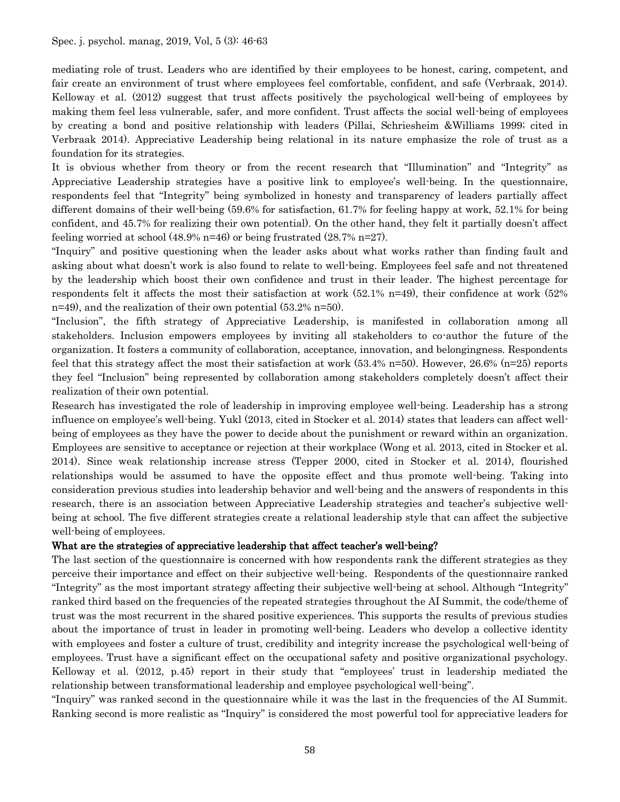mediating role of trust. Leaders who are identified by their employees to be honest, caring, competent, and fair create an environment of trust where employees feel comfortable, confident, and safe (Verbraak, 2014). Kelloway et al. (2012) suggest that trust affects positively the psychological well-being of employees by making them feel less vulnerable, safer, and more confident. Trust affects the social well-being of employees by creating a bond and positive relationship with leaders (Pillai, Schriesheim &Williams 1999; cited in Verbraak 2014). Appreciative Leadership being relational in its nature emphasize the role of trust as a foundation for its strategies.

It is obvious whether from theory or from the recent research that "Illumination" and "Integrity" as Appreciative Leadership strategies have a positive link to employee's well-being. In the questionnaire, respondents feel that "Integrity" being symbolized in honesty and transparency of leaders partially affect different domains of their well-being (59.6% for satisfaction, 61.7% for feeling happy at work, 52.1% for being confident, and 45.7% for realizing their own potential). On the other hand, they felt it partially doesn't affect feeling worried at school  $(48.9\%$  n=46) or being frustrated  $(28.7\%$  n=27).

"Inquiry" and positive questioning when the leader asks about what works rather than finding fault and asking about what doesn't work is also found to relate to well-being. Employees feel safe and not threatened by the leadership which boost their own confidence and trust in their leader. The highest percentage for respondents felt it affects the most their satisfaction at work (52.1% n=49), their confidence at work (52% n=49), and the realization of their own potential (53.2% n=50).

"Inclusion", the fifth strategy of Appreciative Leadership, is manifested in collaboration among all stakeholders. Inclusion empowers employees by inviting all stakeholders to co-author the future of the organization. It fosters a community of collaboration, acceptance, innovation, and belongingness. Respondents feel that this strategy affect the most their satisfaction at work (53.4% n=50). However, 26.6% (n=25) reports they feel "Inclusion" being represented by collaboration among stakeholders completely doesn't affect their realization of their own potential.

Research has investigated the role of leadership in improving employee well-being. Leadership has a strong influence on employee's well-being. Yukl (2013, cited in Stocker et al. 2014) states that leaders can affect wellbeing of employees as they have the power to decide about the punishment or reward within an organization. Employees are sensitive to acceptance or rejection at their workplace (Wong et al. 2013, cited in Stocker et al. 2014). Since weak relationship increase stress (Tepper 2000, cited in Stocker et al. 2014), flourished relationships would be assumed to have the opposite effect and thus promote well-being. Taking into consideration previous studies into leadership behavior and well-being and the answers of respondents in this research, there is an association between Appreciative Leadership strategies and teacher's subjective wellbeing at school. The five different strategies create a relational leadership style that can affect the subjective well-being of employees.

#### What are the strategies of appreciative leadership that affect teacher's well-being?

The last section of the questionnaire is concerned with how respondents rank the different strategies as they perceive their importance and effect on their subjective well-being. Respondents of the questionnaire ranked "Integrity" as the most important strategy affecting their subjective well-being at school. Although "Integrity" ranked third based on the frequencies of the repeated strategies throughout the AI Summit, the code/theme of trust was the most recurrent in the shared positive experiences. This supports the results of previous studies about the importance of trust in leader in promoting well-being. Leaders who develop a collective identity with employees and foster a culture of trust, credibility and integrity increase the psychological well-being of employees. Trust have a significant effect on the occupational safety and positive organizational psychology. Kelloway et al. (2012, p.45) report in their study that "employees' trust in leadership mediated the relationship between transformational leadership and employee psychological well-being".

"Inquiry" was ranked second in the questionnaire while it was the last in the frequencies of the AI Summit. Ranking second is more realistic as "Inquiry" is considered the most powerful tool for appreciative leaders for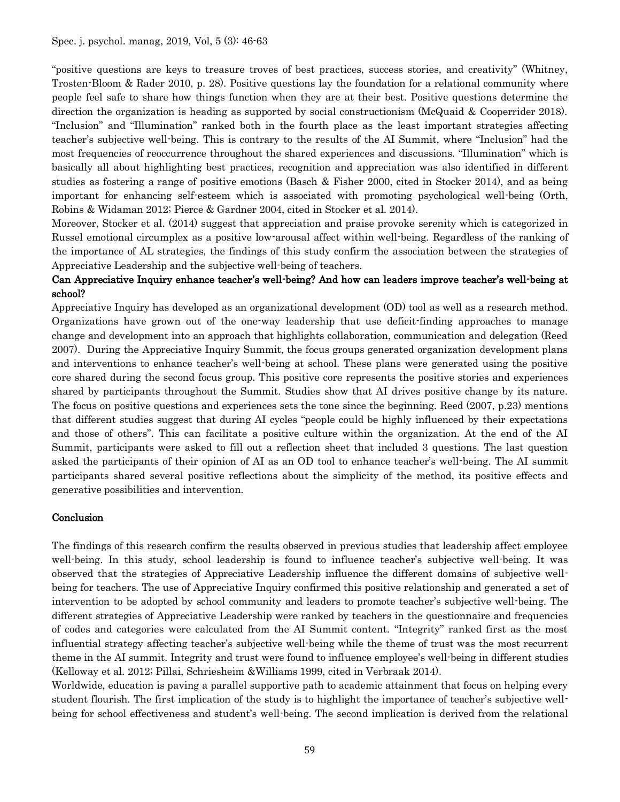"positive questions are keys to treasure troves of best practices, success stories, and creativity" (Whitney, Trosten-Bloom & Rader 2010, p. 28). Positive questions lay the foundation for a relational community where people feel safe to share how things function when they are at their best. Positive questions determine the direction the organization is heading as supported by social constructionism (McQuaid & Cooperrider 2018). "Inclusion" and "Illumination" ranked both in the fourth place as the least important strategies affecting teacher's subjective well-being. This is contrary to the results of the AI Summit, where "Inclusion" had the most frequencies of reoccurrence throughout the shared experiences and discussions. "Illumination" which is basically all about highlighting best practices, recognition and appreciation was also identified in different studies as fostering a range of positive emotions (Basch & Fisher 2000, cited in Stocker 2014), and as being important for enhancing self-esteem which is associated with promoting psychological well-being (Orth, Robins & Widaman 2012; Pierce & Gardner 2004, cited in Stocker et al. 2014).

Moreover, Stocker et al. (2014) suggest that appreciation and praise provoke serenity which is categorized in Russel emotional circumplex as a positive low-arousal affect within well-being. Regardless of the ranking of the importance of AL strategies, the findings of this study confirm the association between the strategies of Appreciative Leadership and the subjective well-being of teachers.

## Can Appreciative Inquiry enhance teacher's well-being? And how can leaders improve teacher's well-being at school?

Appreciative Inquiry has developed as an organizational development (OD) tool as well as a research method. Organizations have grown out of the one-way leadership that use deficit-finding approaches to manage change and development into an approach that highlights collaboration, communication and delegation (Reed 2007). During the Appreciative Inquiry Summit, the focus groups generated organization development plans and interventions to enhance teacher's well-being at school. These plans were generated using the positive core shared during the second focus group. This positive core represents the positive stories and experiences shared by participants throughout the Summit. Studies show that AI drives positive change by its nature. The focus on positive questions and experiences sets the tone since the beginning. Reed (2007, p.23) mentions that different studies suggest that during AI cycles "people could be highly influenced by their expectations and those of others". This can facilitate a positive culture within the organization. At the end of the AI Summit, participants were asked to fill out a reflection sheet that included 3 questions. The last question asked the participants of their opinion of AI as an OD tool to enhance teacher's well-being. The AI summit participants shared several positive reflections about the simplicity of the method, its positive effects and generative possibilities and intervention.

#### Conclusion

The findings of this research confirm the results observed in previous studies that leadership affect employee well-being. In this study, school leadership is found to influence teacher's subjective well-being. It was observed that the strategies of Appreciative Leadership influence the different domains of subjective wellbeing for teachers. The use of Appreciative Inquiry confirmed this positive relationship and generated a set of intervention to be adopted by school community and leaders to promote teacher's subjective well-being. The different strategies of Appreciative Leadership were ranked by teachers in the questionnaire and frequencies of codes and categories were calculated from the AI Summit content. "Integrity" ranked first as the most influential strategy affecting teacher's subjective well-being while the theme of trust was the most recurrent theme in the AI summit. Integrity and trust were found to influence employee's well-being in different studies (Kelloway et al. 2012; Pillai, Schriesheim &Williams 1999, cited in Verbraak 2014).

Worldwide, education is paving a parallel supportive path to academic attainment that focus on helping every student flourish. The first implication of the study is to highlight the importance of teacher's subjective wellbeing for school effectiveness and student's well-being. The second implication is derived from the relational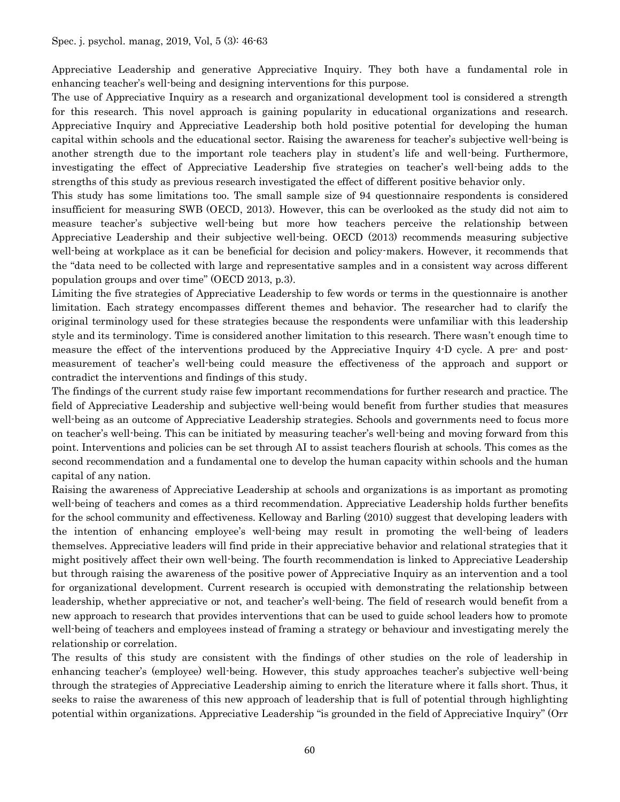Appreciative Leadership and generative Appreciative Inquiry. They both have a fundamental role in enhancing teacher's well-being and designing interventions for this purpose.

The use of Appreciative Inquiry as a research and organizational development tool is considered a strength for this research. This novel approach is gaining popularity in educational organizations and research. Appreciative Inquiry and Appreciative Leadership both hold positive potential for developing the human capital within schools and the educational sector. Raising the awareness for teacher's subjective well-being is another strength due to the important role teachers play in student's life and well-being. Furthermore, investigating the effect of Appreciative Leadership five strategies on teacher's well-being adds to the strengths of this study as previous research investigated the effect of different positive behavior only.

This study has some limitations too. The small sample size of 94 questionnaire respondents is considered insufficient for measuring SWB (OECD, 2013). However, this can be overlooked as the study did not aim to measure teacher's subjective well-being but more how teachers perceive the relationship between Appreciative Leadership and their subjective well-being. OECD (2013) recommends measuring subjective well-being at workplace as it can be beneficial for decision and policy-makers. However, it recommends that the "data need to be collected with large and representative samples and in a consistent way across different population groups and over time" (OECD 2013, p.3).

Limiting the five strategies of Appreciative Leadership to few words or terms in the questionnaire is another limitation. Each strategy encompasses different themes and behavior. The researcher had to clarify the original terminology used for these strategies because the respondents were unfamiliar with this leadership style and its terminology. Time is considered another limitation to this research. There wasn't enough time to measure the effect of the interventions produced by the Appreciative Inquiry 4-D cycle. A pre- and postmeasurement of teacher's well-being could measure the effectiveness of the approach and support or contradict the interventions and findings of this study.

The findings of the current study raise few important recommendations for further research and practice. The field of Appreciative Leadership and subjective well-being would benefit from further studies that measures well-being as an outcome of Appreciative Leadership strategies. Schools and governments need to focus more on teacher's well-being. This can be initiated by measuring teacher's well-being and moving forward from this point. Interventions and policies can be set through AI to assist teachers flourish at schools. This comes as the second recommendation and a fundamental one to develop the human capacity within schools and the human capital of any nation.

Raising the awareness of Appreciative Leadership at schools and organizations is as important as promoting well-being of teachers and comes as a third recommendation. Appreciative Leadership holds further benefits for the school community and effectiveness. Kelloway and Barling (2010) suggest that developing leaders with the intention of enhancing employee's well-being may result in promoting the well-being of leaders themselves. Appreciative leaders will find pride in their appreciative behavior and relational strategies that it might positively affect their own well-being. The fourth recommendation is linked to Appreciative Leadership but through raising the awareness of the positive power of Appreciative Inquiry as an intervention and a tool for organizational development. Current research is occupied with demonstrating the relationship between leadership, whether appreciative or not, and teacher's well-being. The field of research would benefit from a new approach to research that provides interventions that can be used to guide school leaders how to promote well-being of teachers and employees instead of framing a strategy or behaviour and investigating merely the relationship or correlation.

The results of this study are consistent with the findings of other studies on the role of leadership in enhancing teacher's (employee) well-being. However, this study approaches teacher's subjective well-being through the strategies of Appreciative Leadership aiming to enrich the literature where it falls short. Thus, it seeks to raise the awareness of this new approach of leadership that is full of potential through highlighting potential within organizations. Appreciative Leadership "is grounded in the field of Appreciative Inquiry" (Orr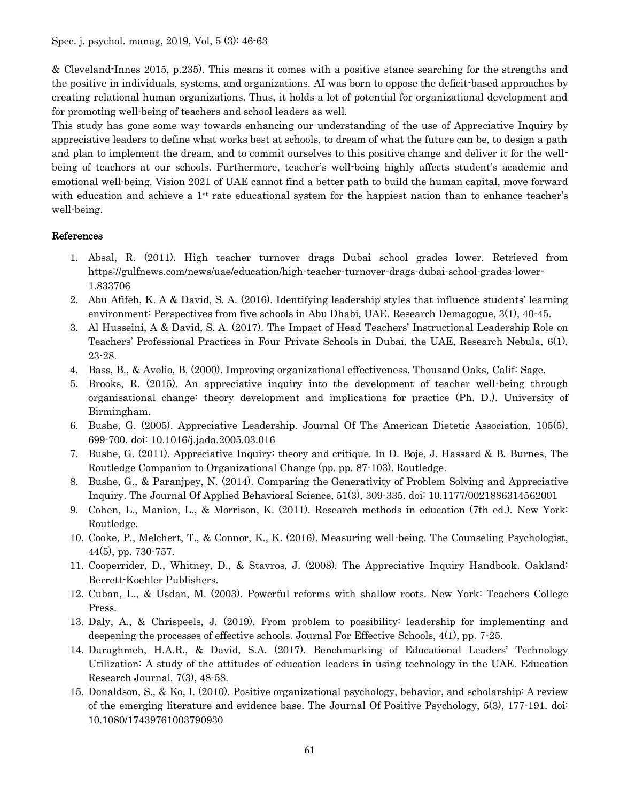& Cleveland-Innes 2015, p.235). This means it comes with a positive stance searching for the strengths and the positive in individuals, systems, and organizations. AI was born to oppose the deficit-based approaches by creating relational human organizations. Thus, it holds a lot of potential for organizational development and for promoting well-being of teachers and school leaders as well.

This study has gone some way towards enhancing our understanding of the use of Appreciative Inquiry by appreciative leaders to define what works best at schools, to dream of what the future can be, to design a path and plan to implement the dream, and to commit ourselves to this positive change and deliver it for the wellbeing of teachers at our schools. Furthermore, teacher's well-being highly affects student's academic and emotional well-being. Vision 2021 of UAE cannot find a better path to build the human capital, move forward with education and achieve a 1<sup>st</sup> rate educational system for the happiest nation than to enhance teacher's well-being.

### References

- 1. Absal, R. (2011). High teacher turnover drags Dubai school grades lower. Retrieved from https://gulfnews.com/news/uae/education/high-teacher-turnover-drags-dubai-school-grades-lower-1.833706
- 2. Abu Afifeh, K. A & David, S. A. (2016). Identifying leadership styles that influence students' learning environment: Perspectives from five schools in Abu Dhabi, UAE. Research Demagogue, 3(1), 40-45.
- 3. Al Husseini, A & David, S. A. (2017). The Impact of Head Teachers' Instructional Leadership Role on Teachers' Professional Practices in Four Private Schools in Dubai, the UAE, Research Nebula, 6(1), 23-28.
- 4. Bass, B., & Avolio, B. (2000). Improving organizational effectiveness. Thousand Oaks, Calif: Sage.
- 5. Brooks, R. (2015). An appreciative inquiry into the development of teacher well-being through organisational change: theory development and implications for practice (Ph. D.). University of Birmingham.
- 6. Bushe, G. (2005). Appreciative Leadership. Journal Of The American Dietetic Association, 105(5), 699-700. doi: 10.1016/j.jada.2005.03.016
- 7. Bushe, G. (2011). Appreciative Inquiry: theory and critique. In D. Boje, J. Hassard & B. Burnes, The Routledge Companion to Organizational Change (pp. pp. 87-103). Routledge.
- 8. Bushe, G., & Paranjpey, N. (2014). Comparing the Generativity of Problem Solving and Appreciative Inquiry. The Journal Of Applied Behavioral Science, 51(3), 309-335. doi: 10.1177/0021886314562001
- 9. Cohen, L., Manion, L., & Morrison, K. (2011). Research methods in education (7th ed.). New York: Routledge.
- 10. Cooke, P., Melchert, T., & Connor, K., K. (2016). Measuring well-being. The Counseling Psychologist, 44(5), pp. 730-757.
- 11. Cooperrider, D., Whitney, D., & Stavros, J. (2008). The Appreciative Inquiry Handbook. Oakland: Berrett-Koehler Publishers.
- 12. Cuban, L., & Usdan, M. (2003). Powerful reforms with shallow roots. New York: Teachers College Press.
- 13. Daly, A., & Chrispeels, J. (2019). From problem to possibility: leadership for implementing and deepening the processes of effective schools. Journal For Effective Schools, 4(1), pp. 7-25.
- 14. Daraghmeh, H.A.R., & David, S.A. (2017). Benchmarking of Educational Leaders' Technology Utilization: A study of the attitudes of education leaders in using technology in the UAE. Education Research Journal. 7(3), 48-58.
- 15. Donaldson, S., & Ko, I. (2010). Positive organizational psychology, behavior, and scholarship: A review of the emerging literature and evidence base. The Journal Of Positive Psychology, 5(3), 177-191. doi: 10.1080/17439761003790930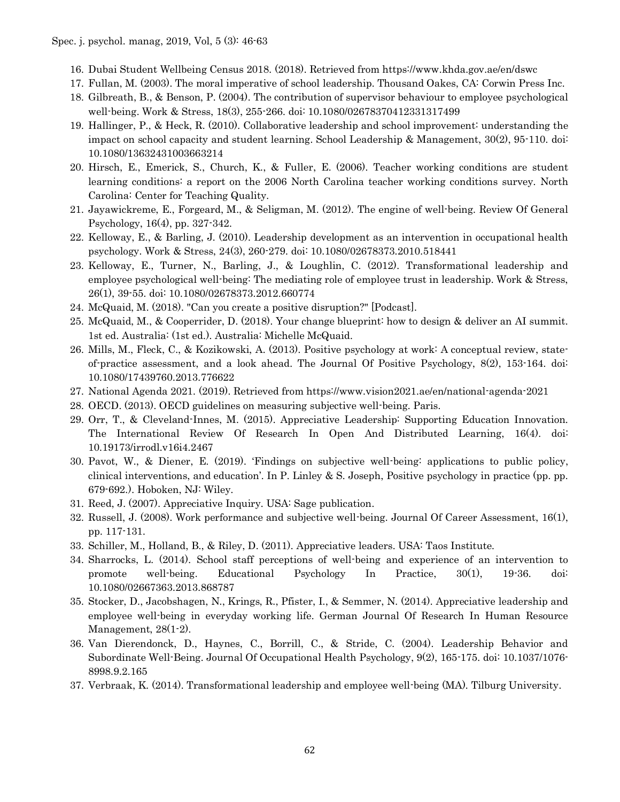- 16. Dubai Student Wellbeing Census 2018. (2018). Retrieved from https://www.khda.gov.ae/en/dswc
- 17. Fullan, M. (2003). The moral imperative of school leadership. Thousand Oakes, CA: Corwin Press Inc.
- 18. Gilbreath, B., & Benson, P. (2004). The contribution of supervisor behaviour to employee psychological well-being. Work & Stress, 18(3), 255-266. doi: 10.1080/02678370412331317499
- 19. Hallinger, P., & Heck, R. (2010). Collaborative leadership and school improvement: understanding the impact on school capacity and student learning. School Leadership & Management, 30(2), 95-110. doi: 10.1080/13632431003663214
- 20. Hirsch, E., Emerick, S., Church, K., & Fuller, E. (2006). Teacher working conditions are student learning conditions: a report on the 2006 North Carolina teacher working conditions survey. North Carolina: Center for Teaching Quality.
- 21. Jayawickreme, E., Forgeard, M., & Seligman, M. (2012). The engine of well-being. Review Of General Psychology, 16(4), pp. 327-342.
- 22. Kelloway, E., & Barling, J. (2010). Leadership development as an intervention in occupational health psychology. Work & Stress, 24(3), 260-279. doi: 10.1080/02678373.2010.518441
- 23. Kelloway, E., Turner, N., Barling, J., & Loughlin, C. (2012). Transformational leadership and employee psychological well-being: The mediating role of employee trust in leadership. Work & Stress, 26(1), 39-55. doi: 10.1080/02678373.2012.660774
- 24. McQuaid, M. (2018). "Can you create a positive disruption?" [Podcast].
- 25. McQuaid, M., & Cooperrider, D. (2018). Your change blueprint: how to design & deliver an AI summit. 1st ed. Australia: (1st ed.). Australia: Michelle McQuaid.
- 26. Mills, M., Fleck, C., & Kozikowski, A. (2013). Positive psychology at work: A conceptual review, stateof-practice assessment, and a look ahead. The Journal Of Positive Psychology, 8(2), 153-164. doi: 10.1080/17439760.2013.776622
- 27. National Agenda 2021. (2019). Retrieved from https://www.vision2021.ae/en/national-agenda-2021
- 28. OECD. (2013). OECD guidelines on measuring subjective well-being. Paris.
- 29. Orr, T., & Cleveland-Innes, M. (2015). Appreciative Leadership: Supporting Education Innovation. The International Review Of Research In Open And Distributed Learning, 16(4). doi: 10.19173/irrodl.v16i4.2467
- 30. Pavot, W., & Diener, E. (2019). 'Findings on subjective well-being: applications to public policy, clinical interventions, and education'. In P. Linley & S. Joseph, Positive psychology in practice (pp. pp. 679-692.). Hoboken, NJ: Wiley.
- 31. Reed, J. (2007). Appreciative Inquiry. USA: Sage publication.
- 32. Russell, J. (2008). Work performance and subjective well-being. Journal Of Career Assessment, 16(1), pp. 117-131.
- 33. Schiller, M., Holland, B., & Riley, D. (2011). Appreciative leaders. USA: Taos Institute.
- 34. Sharrocks, L. (2014). School staff perceptions of well-being and experience of an intervention to promote well-being. Educational Psychology In Practice, 30(1), 19-36. doi: 10.1080/02667363.2013.868787
- 35. Stocker, D., Jacobshagen, N., Krings, R., Pfister, I., & Semmer, N. (2014). Appreciative leadership and employee well-being in everyday working life. German Journal Of Research In Human Resource Management, 28(1-2).
- 36. Van Dierendonck, D., Haynes, C., Borrill, C., & Stride, C. (2004). Leadership Behavior and Subordinate Well-Being. Journal Of Occupational Health Psychology, 9(2), 165-175. doi: 10.1037/1076- 8998.9.2.165
- 37. Verbraak, K. (2014). Transformational leadership and employee well-being (MA). Tilburg University.